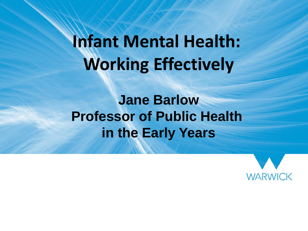#### **Infant Mental Health: Working Effectively**

**Jane Barlow Professor of Public Health in the Early Years**

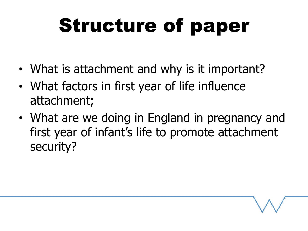## Structure of paper

- What is attachment and why is it important?
- What factors in first year of life influence attachment;
- What are we doing in England in pregnancy and first year of infant's life to promote attachment security?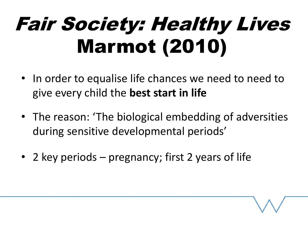## Fair Society: Healthy Lives Marmot (2010)

- In order to equalise life chances we need to need to give every child the **best start in life**
- The reason: 'The biological embedding of adversities during sensitive developmental periods'
- 2 key periods pregnancy; first 2 years of life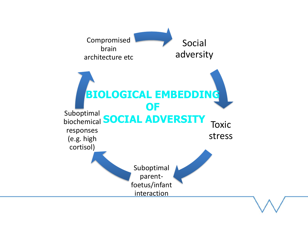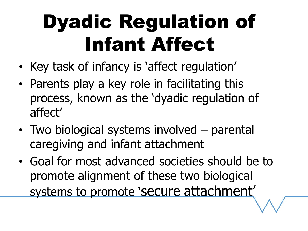## Dyadic Regulation of Infant Affect

- Key task of infancy is 'affect regulation'
- Parents play a key role in facilitating this process, known as the 'dyadic regulation of affect'
- Two biological systems involved parental caregiving and infant attachment
- Goal for most advanced societies should be to promote alignment of these two biological systems to promote 'secure attachment'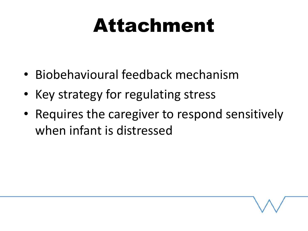#### Attachment

- Biobehavioural feedback mechanism
- Key strategy for regulating stress
- Requires the caregiver to respond sensitively when infant is distressed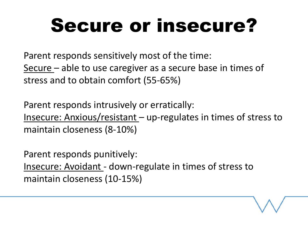#### Secure or insecure?

Parent responds sensitively most of the time: Secure – able to use caregiver as a secure base in times of stress and to obtain comfort (55-65%)

Parent responds intrusively or erratically: Insecure: Anxious/resistant – up-regulates in times of stress to maintain closeness (8-10%)

Parent responds punitively: Insecure: Avoidant - down-regulate in times of stress to maintain closeness (10-15%)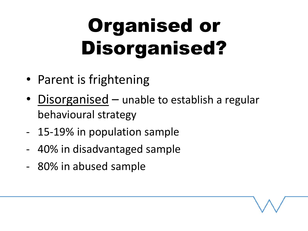## Organised or Disorganised?

- Parent is frightening
- Disorganised unable to establish a regular behavioural strategy
- 15-19% in population sample
- 40% in disadvantaged sample
- 80% in abused sample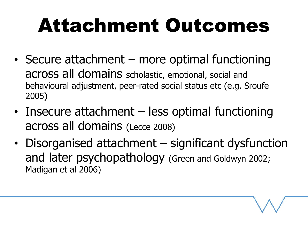## Attachment Outcomes

- Secure attachment more optimal functioning across all domains scholastic, emotional, social and behavioural adjustment, peer-rated social status etc (e.g. Sroufe 2005)
- Insecure attachment less optimal functioning across all domains (Lecce 2008)
- Disorganised attachment significant dysfunction and later psychopathology (Green and Goldwyn 2002; Madigan et al 2006)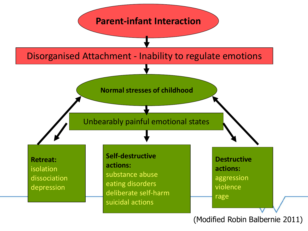

(Modified Robin Balbernie 2011)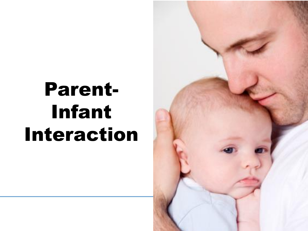### Parent-Infant Interaction

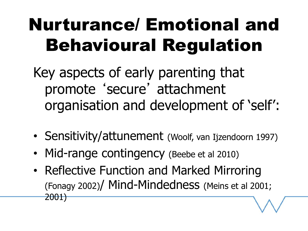#### Nurturance/ Emotional and Behavioural Regulation

Key aspects of early parenting that promote 'secure' attachment organisation and development of 'self':

- Sensitivity/attunement (Woolf, van Ijzendoorn 1997)
- Mid-range contingency (Beebe et al 2010)
- Reflective Function and Marked Mirroring (Fonagy 2002)/ Mind-Mindedness (Meins et al 2001; 2001)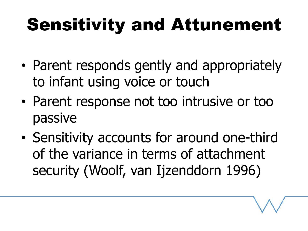#### Sensitivity and Attunement

- Parent responds gently and appropriately to infant using voice or touch
- Parent response not too intrusive or too passive
- Sensitivity accounts for around one-third of the variance in terms of attachment security (Woolf, van Ijzenddorn 1996)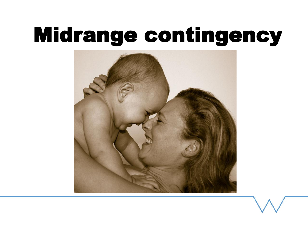## Midrange contingency

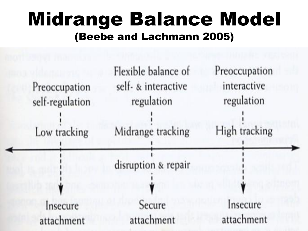#### Midrange Balance Model (Beebe and Lachmann 2005)

| Preoccupation<br>self-regulation<br>Low tracking | Flexible balance of<br>self- & interactive<br>regulation<br>Midrange tracking | Preoccupation<br>interactive<br>regulation<br>High tracking |
|--------------------------------------------------|-------------------------------------------------------------------------------|-------------------------------------------------------------|
|                                                  | disruption & repair                                                           |                                                             |
|                                                  |                                                                               |                                                             |
| Insecure<br>attachment                           | Secure<br>attachment                                                          | Insecure<br>attachment                                      |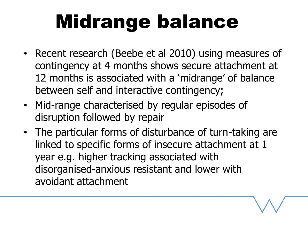### Midrange balance

- Recent research (Beebe et al 2010) using measures of contingency at 4 months shows secure attachment at 12 months is associated with a 'midrange' of balance between self and interactive contingency;
- Mid-range characterised by regular episodes of disruption followed by repair
- The particular forms of disturbance of turn-taking are linked to specific forms of insecure attachment at 1 year e.g. higher tracking associated with disorganised-anxious resistant and lower with avoidant attachment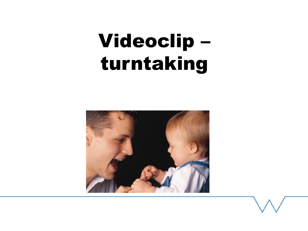#### Videoclip – turntaking

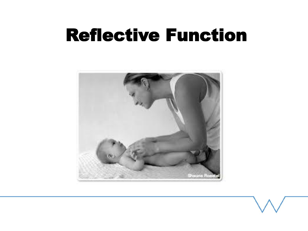#### Reflective Function

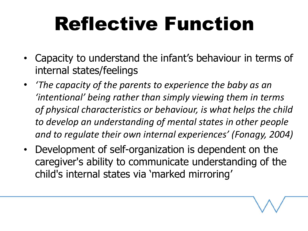### Reflective Function

- Capacity to understand the infant's behaviour in terms of internal states/feelings
- *'The capacity of the parents to experience the baby as an 'intentional' being rather than simply viewing them in terms of physical characteristics or behaviour, is what helps the child to develop an understanding of mental states in other people and to regulate their own internal experiences' (Fonagy, 2004)*
- Development of self-organization is dependent on the caregiver's ability to communicate understanding of the child's internal states via 'marked mirroring'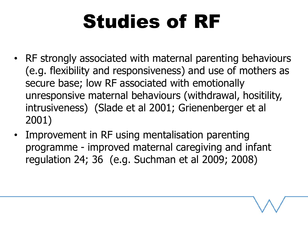## Studies of RF

- RF strongly associated with maternal parenting behaviours (e.g. flexibility and responsiveness) and use of mothers as secure base; low RF associated with emotionally unresponsive maternal behaviours (withdrawal, hositility, intrusiveness) (Slade et al 2001; Grienenberger et al 2001)
- Improvement in RF using mentalisation parenting programme - improved maternal caregiving and infant regulation 24; 36 (e.g. Suchman et al 2009; 2008)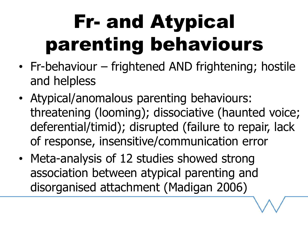## Fr- and Atypical parenting behaviours

- Fr-behaviour frightened AND frightening; hostile and helpless
- Atypical/anomalous parenting behaviours: threatening (looming); dissociative (haunted voice; deferential/timid); disrupted (failure to repair, lack of response, insensitive/communication error
- Meta-analysis of 12 studies showed strong association between atypical parenting and disorganised attachment (Madigan 2006)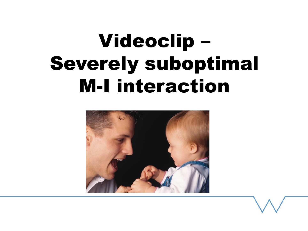### Videoclip – Severely suboptimal M-I interaction

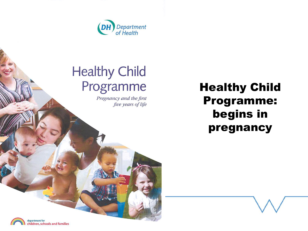

#### **Healthy Child** Programme

Pregnancy and the first five years of life

#### Healthy Child Programme: begins in pregnancy

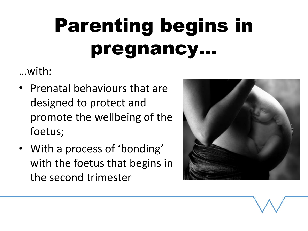## Parenting begins in pregnancy…

…with:

- Prenatal behaviours that are designed to protect and promote the wellbeing of the foetus;
- With a process of 'bonding' with the foetus that begins in the second trimester

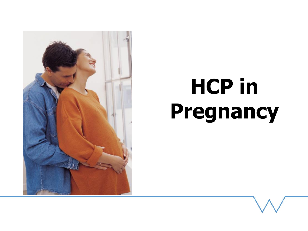

# **HCP in Pregnancy**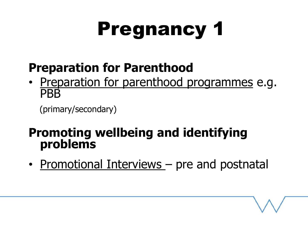## Pregnancy 1

#### **Preparation for Parenthood**

• Preparation for parenthood programmes e.g. **PRB** 

(primary/secondary)

#### **Promoting wellbeing and identifying problems**

• Promotional Interviews – pre and postnatal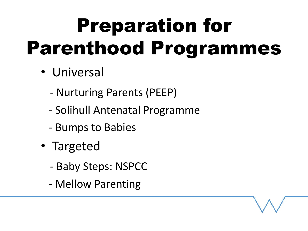## Preparation for Parenthood Programmes

- Universal
	- Nurturing Parents (PEEP)
	- Solihull Antenatal Programme
	- Bumps to Babies
- Targeted
	- Baby Steps: NSPCC
	- Mellow Parenting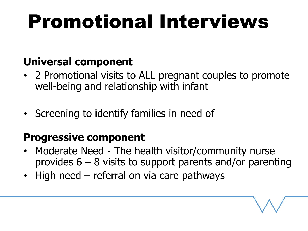## Promotional Interviews

#### **Universal component**

- 2 Promotional visits to ALL pregnant couples to promote well-being and relationship with infant
- Screening to identify families in need of

#### **Progressive component**

- Moderate Need The health visitor/community nurse provides  $6 - 8$  visits to support parents and/or parenting
- High need referral on via care pathways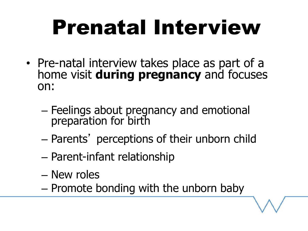# Prenatal Interview

- Pre-natal interview takes place as part of a home visit **during pregnancy** and focuses on:
	- Feelings about pregnancy and emotional preparation for birth
	- Parents' perceptions of their unborn child
	- Parent-infant relationship
	- New roles
	- Promote bonding with the unborn baby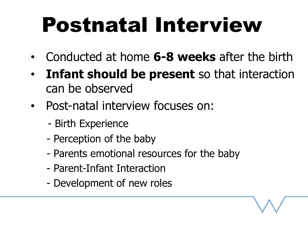# Postnatal Interview

- Conducted at home **6-8 weeks** after the birth
- **Infant should be present** so that interaction can be observed
- Post-natal interview focuses on:
	- Birth Experience
	- Perception of the baby
	- Parents emotional resources for the baby
	- Parent-Infant Interaction
	- Development of new roles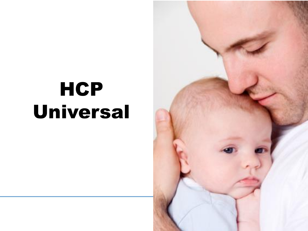## **HCP** Universal

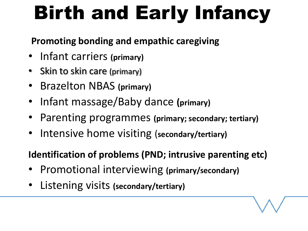## Birth and Early Infancy

#### **Promoting bonding and empathic caregiving**

- Infant carriers **(primary)**
- Skin to skin care (primary)
- Brazelton NBAS **(primary)**
- Infant massage/Baby dance **(primary)**
- Parenting programmes **(primary; secondary; tertiary)**
- Intensive home visiting (**secondary/tertiary)**

**Identification of problems (PND; intrusive parenting etc)**

- Promotional interviewing **(primary/secondary)**
- Listening visits **(secondary/tertiary)**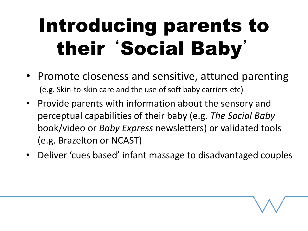## Introducing parents to their 'Social Baby'

- Promote closeness and sensitive, attuned parenting (e.g. Skin-to-skin care and the use of soft baby carriers etc)
- Provide parents with information about the sensory and perceptual capabilities of their baby (e.g. *The Social Baby*  book/video or *Baby Express* newsletters) or validated tools (e.g. Brazelton or NCAST)
- Deliver 'cues based' infant massage to disadvantaged couples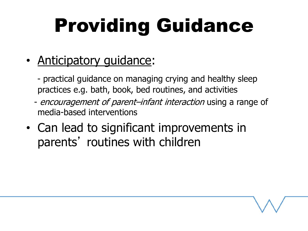## Providing Guidance

- Anticipatory quidance:
	- practical guidance on managing crying and healthy sleep practices e.g. bath, book, bed routines, and activities
	- encouragement of parent–infant interaction using a range of media-based interventions
- Can lead to significant improvements in parents' routines with children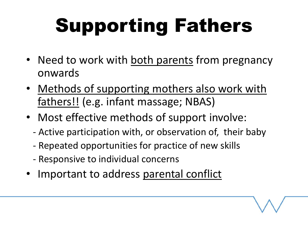# Supporting Fathers

- Need to work with both parents from pregnancy onwards
- Methods of supporting mothers also work with fathers!! (e.g. infant massage; NBAS)
- Most effective methods of support involve:
	- Active participation with, or observation of, their baby
	- Repeated opportunities for practice of new skills
	- Responsive to individual concerns
- Important to address parental conflict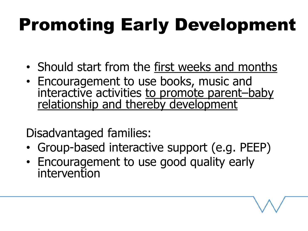## Promoting Early Development

- Should start from the first weeks and months
- Encouragement to use books, music and interactive activities to promote parent–baby relationship and thereby development

Disadvantaged families:

- Group-based interactive support (e.g. PEEP)
- Encouragement to use good quality early intervention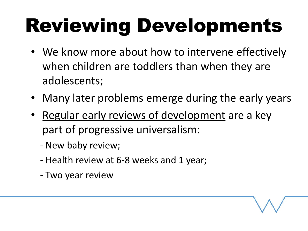## Reviewing Developments

- We know more about how to intervene effectively when children are toddlers than when they are adolescents;
- Many later problems emerge during the early years
- Regular early reviews of development are a key part of progressive universalism:
	- New baby review;
	- Health review at 6-8 weeks and 1 year;
	- Two year review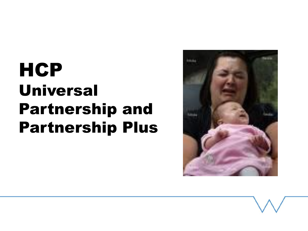#### **HCP** Universal Partnership and Partnership Plus

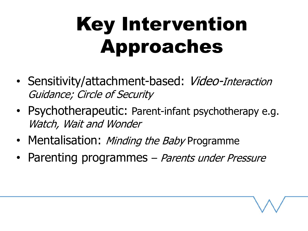## Key Intervention Approaches

- Sensitivity/attachment-based: Video-Interaction Guidance; Circle of Security
- Psychotherapeutic: Parent-infant psychotherapy e.g. Watch, Wait and Wonder
- Mentalisation: *Minding the Baby* Programme
- Parenting programmes Parents under Pressure